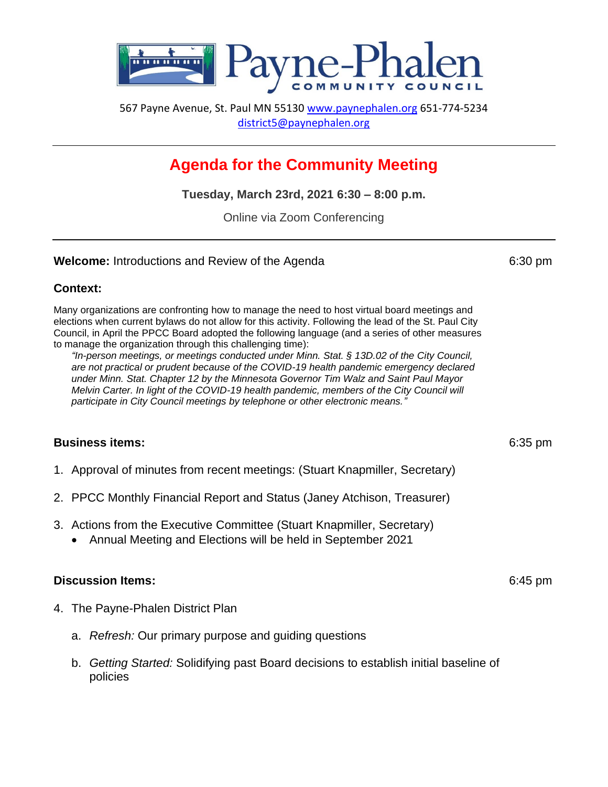

567 Payne Avenue, St. Paul MN 55130 [www.paynephalen.org](http://www.paynephalen.org/) 651-774-5234 [district5@paynephalen.org](mailto:district5@paynephalen.org)

# **Agenda for the Community Meeting**

**Tuesday, March 23rd, 2021 6:30 – 8:00 p.m.**

Online via Zoom Conferencing

#### **Welcome:** Introductions and Review of the Agenda 6:30 pm

# **Context:**

Many organizations are confronting how to manage the need to host virtual board meetings and elections when current bylaws do not allow for this activity. Following the lead of the St. Paul City Council, in April the PPCC Board adopted the following language (and a series of other measures to manage the organization through this challenging time):

*"In-person meetings, or meetings conducted under Minn. Stat. § 13D.02 of the City Council, are not practical or prudent because of the COVID-19 health pandemic emergency declared under Minn. Stat. Chapter 12 by the Minnesota Governor Tim Walz and Saint Paul Mayor Melvin Carter. In light of the COVID-19 health pandemic, members of the City Council will participate in City Council meetings by telephone or other electronic means."*

# **Business items:** 6:35 pm

- 1. Approval of minutes from recent meetings: (Stuart Knapmiller, Secretary)
- 2. PPCC Monthly Financial Report and Status (Janey Atchison, Treasurer)
- 3. Actions from the Executive Committee (Stuart Knapmiller, Secretary)
	- Annual Meeting and Elections will be held in September 2021

#### **Discussion Items:** 6:45 pm

- 4. The Payne-Phalen District Plan
	- a. *Refresh:* Our primary purpose and guiding questions
	- b. *Getting Started:* Solidifying past Board decisions to establish initial baseline of policies